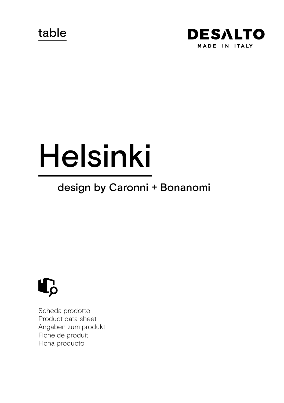table



# Helsinki

# design by Caronni + Bonanomi



Scheda prodotto Product data sheet Angaben zum produkt Fiche de produit Ficha producto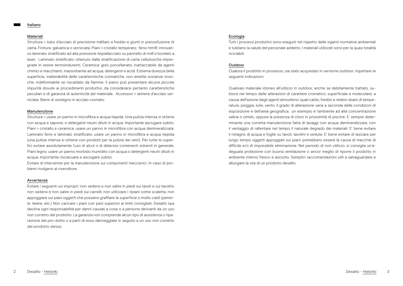#### Italiano

#### Materiali

Struttura > tubo d'acciaio di precisione trafilato a freddo e giunti in pressofusione di zama. Finitura galvanica o verniciata. Piani > cristallo temperato; fenix ntm®: innovativo laminato stratificato ad alta pressione impiallacciato su pannello di mdf e bordato a laser. Laminato stratificato: ottenuto dalla stratificazione di carte cellulosiche impregnate in resine termoindurenti. Ceramica: gres porcellanato, inattaccabile da agenti chimici e macchianti, inassorbente ad acqua, detergenti e acidi. Estrema durezza della superficie, inalterabilità delle caratteristiche cromatiche, non emette sostanze tossiche, indeformabile se riscaldato da fiamme. Il piano può presentare alcune piccole impurità dovute ai procedimenti produttivi, da considerarsi pertanto caratteristiche peculiari e di garanzia di autenticità del materiale. Accessori > lamiera d'acciaio verniciata. Barre di sostegno in acciaio cromato.

#### Manutenzione

Struttura > usare un panno in microfibra e acqua tiepida. Una pulizia intensa si ottiene con acqua e sapone, o detergenti neutri diluiti in acqua. Importante asciugare subito. Piani > cristallo e ceramica: usare un panno in microfibra con acqua demineralizzata. Laminato fenix e laminato stratificato: usare un panno in microfibra e acqua tiepida (una pulizia intensa si ottiene con prodotti per la pulizia dei vetri). Per tutte le superfici evitare assolutamente l'uso di alcol o di detersivi contenenti solventi in generale. Piani legno: usare un panno morbido inumidito con acqua o detergenti neutri diluiti in acqua, importante risciacuare e asciugare subito.

Evitare di intervenire per la manutenzione sui componenti meccanici. In caso di problemi rivolgersi al rivenditore.

#### Avvertenze

Evitare i seguenti usi impropri: non sedersi e non salire in piedi sui tavoli e sui tavolini; non sedersi e non salire in piedi sui carrelli; non utilizzare i ripiani come scaletta, non appoggiare sui piani oggetti che possano graffiare la superficie o molto caldi (pentole, teiere, etc.) Non caricare i piani con pesi superiori ai limiti consigliati. Desalto spa declina ogni responsabilità per danni causati a cose o a persone derivanti da un uso non corretto del prodotto. La garanzia non comprende alcun tipo di assistenza o riparazione del pro-dotto o a parti di esso danneggiate in seguito a un uso non corretto del prodotto stesso.

# **Ecologia**

Tutti i processi produttivi sono eseguiti nel rispetto delle vigenti normative ambientali e tutelano la salute del personale addetto. I materiali utilizzati sono per la quasi totalità riciclabili.

#### Outdoor

Qualora il prodotto in possesso, sia stato acquistato in versione outdoor, rispettare le seguenti indicazioni:

Qualsiasi materiale idoneo all'utilizzo in outdoor, anche se debitamente trattato, subisce nel tempo delle alterazioni di carattere cromatico, superficiale e molecolare, a causa dell'azione degli agenti atmosferici quali caldo, freddo e relativi sbalzi di temperatura, pioggia, sole, vento. Il grado di alterazione varia a seconda delle condizioni di esposizione e dell'area geografica: un esempio è l'ambiente ad alta concentrazione salina o umido, oppure la presenza di cloro in prossimità di piscine. E' sempre determinante una corretta manutenzione fatta di lavaggi con acqua demineralizzata, con il vantaggio di rallentare nel tempo il naturale degrado dei materiali. E' bene evitare il ristagno di acqua e foglie su tavoli, tavolini e sedute. E' bene evitare di lasciare per lungo tempo oggetti appoggiati sui piani: potrebbero essere la causa di macchie di difficile e/o di impossibile eliminazione. Nel periodo di non utilizzo, si consiglia un'adeguata protezione con buona ventilazione o ancor meglio di riporre il prodotto in ambiente interno fresco e asciutto. Semplici raccomandazioni utili a salvaguardare e allungare la vita di un prodotto desalto.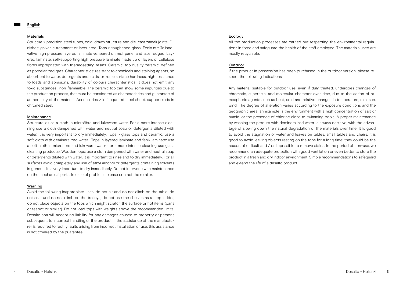#### English

#### Materials

Structue > precision steel tubes, cold-drawn structure and die-cast zamak joints. Finishes: galvanic treatment or lacquered. Tops > toughened glass. Fenix ntm®: innovative high pressure layered laminate veneered on mdf panel and laser edged. Layered laminate: self-supporting high pressure laminate made up of layers of cellulose fibres impregnated with thermosetting resins. Ceramic: top quality ceramic, defined as porcelanized gres. Charachteristics: resistant to chemicals and staining agents, no absorbent to water, detergents and acids, extreme surface hardness, high resistance to loads and abrasions, durability of colours charachteristics, it does not emit any toxic substances , non-flammable. The ceramic top can show some impurities due to the production process, that must be considered as characteristics and guarantee of authenticity of the material. Accessories > in lacquered steel sheet, support rods in chromed steel.

#### Maintenance

Structure > use a cloth in microfibre and lukewarm water. For a more intense cleaning use a cloth dampened with water and neutral soap or detergents diluted with water. It is very important to dry immediately. Tops > glass tops and ceramic: use a soft cloth with demineralized water. Tops in layered laminate and fenix laminate: use a soft cloth in microfibre and lukewarm water (for a more intense cleaning use glass cleaning products). Wooden tops: use a cloth dampened with water and neutral soap or detergents diluted with water. It is important to rinse and to dry immediately. For all surfaces avoid completely any use of ethyl alcohol or detergents containing solvents in general. It is very important to dry immediately. Do not intervene with maintenance on the mechanical parts. In case of problems please contact the retailer.

# Warning

Avoid the following inappropiate uses: do not sit and do not climb on the table, do not seat and do not climb on the trolleys, do not use the shelves as a step ladder, do not place objects on the tops which might scratch the surface or hot items (pans or teapot or similar). Do not load tops with weights above the recommended limits. Desalto spa will accept no liability for any damages caused to property or persons subsequent to incorrect handling of the product. If the assistance of the manufacturer is required to rectify faults arising from incorrect installation or use, this assistance is not covered by the guarantee.

# Ecology

All the production processes are carried out respecting the environmental regulations in force and safeguard the health of the staff employed. The materials used are mostly recyclable.

# Outdoor

If the product in possession has been purchased in the outdoor version, please respect the following indications:

Any material suitable for outdoor use, even if duly treated, undergoes changes of chromatic, superficial and molecular character over time, due to the action of atmospheric agents such as heat, cold and relative changes in temperature, rain, sun, wind. The degree of alteration varies according to the exposure conditions and the geographic area: an example is the environment with a high concentration of salt or humid, or the presence of chlorine close to swimming pools. A proper maintenance by washing the product with demineralized water is always decisive, with the advantage of slowing down the natural degradation of the materials over time. It is good to avoid the stagnation of water and leaves on tables, small tables and chairs. It is good to avoid leaving objects resting on the tops for a long time: they could be the reason of difficult and / or impossible to remove stains. In the period of non-use, we recommend an adequate protection with good ventilation or even better to store the product in a fresh and dry indoor environment. Simple recommendations to safeguard and extend the life of a desalto product.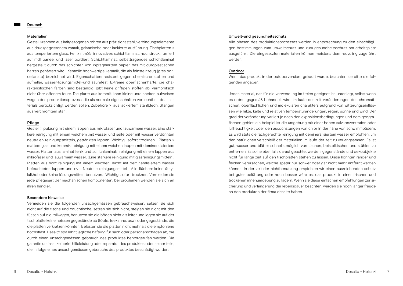#### Deutsch

#### Materialien

Gestell >rahmen aus kaltgezogenen rohren aus präzisionsstahl, verbindungselemente aus druckgegossenem zamak, galvanische oder lackierte ausführung. Tischplatten > aus temperiertem glass. Fenix ntm®: innovatives schichtlaminat, hochdruck, furniert auf mdf paneel und laser bordiert. Schichtlaminat: selbsttragendes schichtlaminat hergestellt durch das schichten von inprägniertem papier, das mit duroplastischen harzen gehärtert wird. Keramik: hochwertige keramik, die als feinsteinzeug (gres porcellanato) bezeichnet wird. Eigenschaften: resistent gegen chemische stoffen und aufheller, wasser-lösungsmittel-und säurefest. Extreme oberflächenhärte, die charakteristischen farben sind beständig, gibt keine griftigen stoffen ab, vermomtsich nicht über offenem feuer. Die platte aus keramik kann kleine unreinheiten aufweisen wegen des produktionsprozess, die als normale eigenschaften von echtheit des materials berücksichtigt werden sollen. Zubehöre > aus lackiertem stahlblech. Stangen aus verchromtem stahl.

#### Pflege

Gestell > putzung mit einem lappen aus mikrofaser und lauwarmem wasser. Eine stärkere reinigung mit einem weichem ,mit wasser und seife oder mit wasser verdünnten neutralen reinigungsmitteln, getränkten lappen. Wichtig sofort trocknen. Platten > mattem glas und keramik: reinigung mit einem weichen lappen mit demineralisiertem wasser. Platten aus laminat fenix und schichlaminat: reinigung mit einem lappen aus mikrofaser und lauwarmem wasser. (Eine stärkere reinigung mit glasreinigungsmitteln). Platten aus holz: reinigung mit einem weichen, leicht mit demineralisiertem wasser befeuchteten lappen und evtl. Neutrale reinigungsmittel . Alle flächen: keine äthylalkhol oder keine lösungsmitteln benutzen. Wichtig: sofort trocknen. Vermeiden sie jede pflegesart der machanischen komponenten, bei problemen wenden sie sich an ihren händler.

#### Besondere hinweise

Vermeiden sie die folgenden unsachgemässen gebrauchsweisen: setzen sie sich nicht auf die tische und couchtische, setzen sie sich nicht, steigen sie nicht mit den füssen auf die rollwagen, benutzen sie die böden nicht als leiter und legen sie auf der tischplatte keine heissen gegestände ab (töpfe, teekanne, usw), oder gegestände, die die platten verkratzen könnten. Belasten sie die platten nicht mehr als die empfohlene höchstlast. Desalto spa lehnt jegliche haftung für sach oder personenschäden ab, die durch einen unsachgemässen gebrauch des produktes hervorgerufen werden. Die garantie umfasst keinerlei hilfsleistung oder reparatur des produktes oder seiner teile, die in folge eines unsachgemässen gebrauchs des produktes beschädigt wurden.

#### Umwelt-und gesundheitsschutz

Alle phasen des produktionsprozesses werden in entsprechung zu den einschlägigen bestimmungen zum umweltschutz und zum gesundheitsschutz am arbeitsplatz ausgeführt. Die eingesetzten materialien können meistens dem recycling zugeführt werden.

#### Outdoor

Wenn das produkt in der outdoorversion gekauft wurde, beachten sie bitte die folgenden angaben:

Jedes material, das für die verwendung im freien geeignet ist, unterliegt, selbst wenn es ordnungsgemäß behandelt wird, im laufe der zeit veränderungen des chromatischen, oberflächlichen und molekularen charakters aufgrund von witterungseinflüssen wie hitze, kälte und relativen temperaturänderungen, regen, sonne und wind. Der grad der veränderung variiert je nach den expositionsbedingungen und dem geografischen gebiet: ein beispiel ist die umgebung mit einer hohen salzkonzentration oder luftfeuchtigkeit oder den ausdünstungen von chlor in der nähe von schwimmbädern. Es wird stets die fachgerechte reinigung mit demineralisiertem wasser empfohlen, um den natürlichen verschleiß der materialien im laufe der zeit zu verlangsamnen. Es ist gut, wasser und blätter schnellstmöglich von tischen, beistelltischen und stühlen zu entfernen. Es sollte ebenfalls darauf geachtet werden, gegenstände und dekoobjekte nicht für lange zeit auf den tischplatten stehen zu lassen. Diese könnten ränder und flecken verursachen, welche später nur schwer oder gar nicht mehr entfernt werden können. In der zeit der nichtbenutzung empfehlen wir einen ausreichenden schutz bei guter belüftung oder noch besser wäre es, das produkt in einer frischen und trockenen innenumgebung zu lagern. Wenn sie diese einfachen empfehlungen zur sicherung und verlängerung der lebensdauer beachten, werden sie noch länger freude an den produkten der firma desalto haben.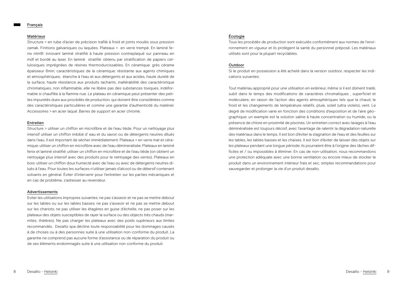#### Français

#### Matériaux

Structure > en tube d'acier de précision trafilé à froid et joints moulés sous pression zamak. Finitions galvaniques ou laquées. Plateaux > en verre trempé. En laminé fenix ntm®: innovant laminé stratifié à haute pression contreplaqué sur panneau en mdf et bordé au laser. En laminé stratifié: obtenu par stratification de papiers cellulosiques imprégnées de résines thermodurcissables. En céramique: grès cérame épaisseur 6mm; caractéristiques de la céramique: résistante aux agents chimiques et atmosphériques; étanche à l'eau et aux détergents et aux acides, haute dureté de la surface, haute résistance aux produits tachants, inaltérabilité des caractéristique chromatiques, non inflammable, elle ne libère pas des substances toxiques, indéformable si chauffée à la flamme nue. Le plateau en céramique peut présenter des petites impuretés dues aux procédés de production, qui doivent être considérées comme des caractéristiques particulières et comme une garantie d'authenticité du matériel. Accessoires > en acier laqué. Barres de support en acier chromé.

#### Entretien

Structure > utiliser un chiffon en microfibre et de l'eau tiède. Pour un nettoyage plus intensif utiliser un chiffon imbibé d' eau et du savon ou de détergents neutres dilués dans l'eau. Il est important de sécher immédiatement. Plateaux > en verre mat et céramique: utiliser un chiffon en microfibre avec de l'eau démineralisée. Plateaux en laminé fenix et laminé stratifié: utiliser un chiffon en microfibre et de l'eau tiède (on obtient un nettoyage plus intensif avec des produits pour le nettoyage des verres). Plateaux en bois: utiliser un chiffon doux humecté avec de l'eau ou avec de détergents neutres dilués à l'eau. Pour toutes les surfaces n'utiliser jamais d'alcool ou de détersif contenant solvants en général. Éviter d'intervenir pour l'entretien sur les parties mécaniques et en cas de problème, s'adresser au revendeur.

# Advertissements

Eviter les utilisations impropres suivantes: ne pas s'asseoir et ne pas se mettre debout sur les tables ou sur les tables basses; ne pas s'asseoir et ne pas se mettre debout sur les chariots; ne pas utiliser les étagères en guise d'échelle, ne pas poser sur les plateaux des objets susceptibles de rayer la surface ou des objects très chauds (marmites, théières). Ne pas charger les plateaux avec des poids supérieurs aux limites recommandés. Desalto spa décline toute responsabilité pour les dommages causés à de choses ou à des personnes suite à une utilisation non-conforme du produit. La garantie ne comprend pas aucune forme d'assistance ou de réparation du produit ou de ses éléments endommagés suite à une utilisation non conforme du produit.

# Écologie

Tous les procédés de production sont exécutés conformément aux normes de l'environnement en vigueur et ils protègent la santé du personnel préposé. Les matériaux utilisés sont pour la plupart recyclables.

# Outdoor

Si le produit en possession a été acheté dans la version outdoor, respecter les indications suivantes:

Tout matériau approprié pour une utilisation en extérieur, même si il est dûment traité, subit dans le temps des modifications de caractères chromatiques , superficiel et moléculaire, en raison de l'action des agents atmosphériques tels que la chaud, le froid et les changements de température relatifs, pluie, soleil (ultra violets), vent. Le degré de modification varie en fonction des conditions d'exposition et de l'aire géographique: un exemple est la solution saline à haute concentration ou humide, ou la présence de chlore en proximité de piscines. Un entretien correct avec lavages à l'eau déminéralisée est toujours décisif, avec l'avantage de ralentir la dégradation naturelle des matériaux dans le temps. Il est bon d'éviter la stagnation de l'eau et des feuilles sur les tables, les tables basses et les chaises. Il est bon d'éviter de laisser des objets sur les plateaux pendant une longue période: ils pourraient être à l'origine des tâches difficiles et / ou impossibles à éliminer. En cas de non-utilisation, nous recommandons une protection adéquate avec une bonne ventilation ou encore mieux de stocker le produit dans un environnement intérieur frais et sec, simples recommandations pour sauvegarder et prolonger la vie d'un produit desalto.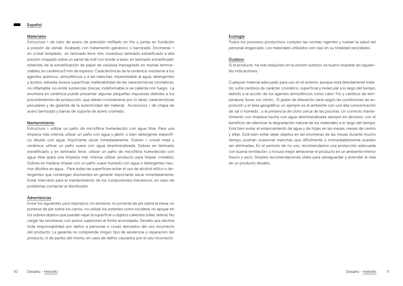#### Español

#### Materiales

Estructura > de tubo de acero de precisión trefilado en frío y juntas en fundición a presión de zamak. Acabado con tratamiento galvánico o barnizado. Encimeras > en cristal templado; en laminado fenix ntm: novedoso laminado estratificado a alta presión chapado sobre un panel de mdf con borde a laser; en laminado estratificado: obtenido de la estratificación de papel de celulosa impregnado en resinas termoestables; en cerámica 6 mm de espesor. Características de la cerámica: resistente a los agentes químicos, atmosféricos y a las manchas, impermeable al agua, detergentes y ácidos, elevada dureza superficial, inalterabilidad de las características cromáticas, no inflamable, no emite sustancias tóxicas, indeformable si se calienta con fuego. La encimera en cerámica puede presentar algunas pequeñas impurezas debidas a los procedimientos de producción, que deben considerarse por lo tanto, características peculiares y de garantía de la autenticidad del material. Accesorios > de chapa de acero barnizado y barras de soporte de acero cromado.

#### Mantenimiento

Estructura > utilizar un paño de microfibra humedecido con agua tibia. Para una limpieza más intensa utilizar un paño con agua y jabón o bien detergente específico diluido con agua. Importante secar inmediatamente. Sobres > cristal mate y cerámica: utilizar un paño suave con agua desmineralizada. Sobres en laminado estratificado y en laminado fenix: utilizar un paño de microfibra humedecido con agua tibia (para una limpieza más intensa utilizar producto para limpiar cristales). Sobres en madera: limpiar con un paño suave humedo con agua o detergentes neutros diluídos en agua. Para todas las superficies evitar el uso de alcohol etílico o detergentes que contengan disolventes en general. Importante secar inmediatamente. Evitar intervenir para el mantenimiento de los componentes mecánicos, en caso de problemas contactar al distribuidor.

#### Advertencias

Evitar los siguientes usos impropios: no sentarse, no ponerse de pie sobre la mesa, no ponerse de pie sobre los carros, no utilizar los estantes como escalera, no apoyar en los sobres objetos que puedan rayar la superficie u objetos calientes (ollas, tetera). No cargar las encimeras con pesos superiores al líimite aconsejado. Desalto spa declina toda responsabilidad por daños a personas o cosas derivados del uso incorrecto del producto. La garantía no comprende ningun tipo de asistencia o reparacion del producto, ni de partes del mismo, en caso de daños causados por el uso incorrecto.

# Ecología

Todos los procesos productivos cumplen las normas vigentes y tutelan la salud del personal engarcado. Los materiales utilizados son casi en su totalidad reciclables.

#### **Outdoor**

Si el producto ha sido adquirido en la versión outdoor, es bueno respetar las siguientes indicaciónes:

Cualquier material adecuado para uso en el exterior, aunque está debidamente tratado, sufre cambios de carácter cromático, superficial y molecular a lo largo del tiempo, debido a la acción de los agentes atmosféricos como calor, frío y cambios de temperatura, lluvia, sol, viento... El grado de alteración varía según las condiciones de exposición y el área geográfica: un ejemplo es el ambiente con una alta concentración de sal o húmedo , o la presencia de cloro cerca de las piscinas. Un correcto mantenimiento con limpieza hecha con agua desmineralizada siempre es decisivo, con el beneficio de ralentizar la degradación natural de los materiales a lo largo del tiempo. Está bien evitar el estancamiento de agua y de hojas en las mesas, mesas de centro y sillas. Está bien evitar dejar objetos en las encimeras de las mesas durante mucho tiempo: podrían ocasionar manchas que difícilmente o irremediablemente pueden ser eliminadas. En el período de no uso, recomendamos una protección adecuada con buena ventilación, o incluso mejor almacenar el producto en un ambiente interior fresco y seco. Simples recomendaciones útiles para salvaguardar y extender la vida de un producto desalto.